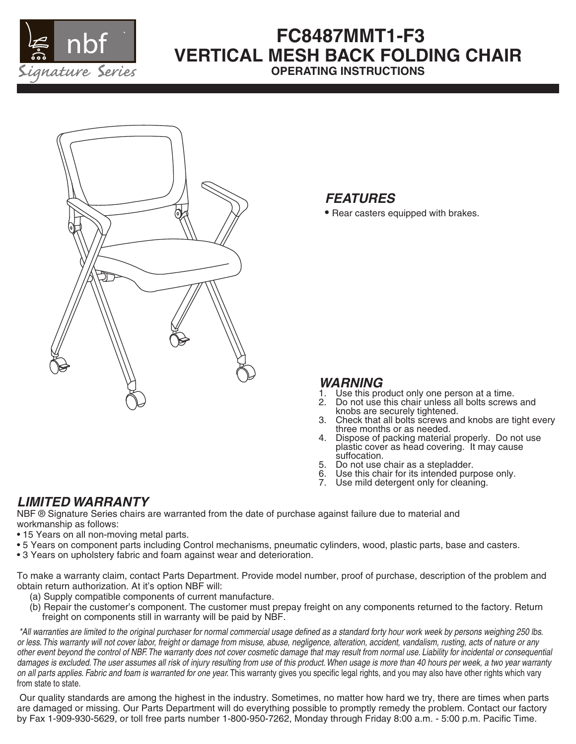

# **FC8487MMT1-F3 VERTICAL MESH BACK FOLDING CHAIR OPERATING INSTRUCTIONS**



## *FEATURES*

**•** Rear casters equipped with brakes.

### *WARNING*

- 1. Use this product only one person at a time.<br>2. Do not use this chair unless all bolts screws
- 2. Do not use this chair unless all bolts screws and knobs are securely tightened.
- 3. Check that all bolts screws and knobs are tight every three months or as needed.
- 4. Dispose of packing material properly. Do not use plastic cover as head covering. It may cause suffocation.
- 5. Do not use chair as a stepladder.
- 6. Use this chair for its intended purpose only.
- 7. Use mild detergent only for cleaning.

## *LIMITED WARRANTY*

NBF ® Signature Series chairs are warranted from the date of purchase against failure due to material and workmanship as follows:

- 15 Years on all non-moving metal parts.
- 5 Years on component parts including Control mechanisms, pneumatic cylinders, wood, plastic parts, base and casters.
- 3 Years on upholstery fabric and foam against wear and deterioration.

To make a warranty claim, contact Parts Department. Provide model number, proof of purchase, description of the problem and obtain return authorization. At it's option NBF will:

- (a) Supply compatible components of current manufacture.
- (b) Repair the customer's component. The customer must prepay freight on any components returned to the factory. Return freight on components still in warranty will be paid by NBF.

 *\*All warranties are limited to the original purchaser for normal commercial usage defined as a standard forty hour work week by persons weighing 250 lbs. or less. This warranty will not cover labor, freight or damage from misuse, abuse, negligence, alteration, accident, vandalism, rusting, acts of nature or any other event beyond the control of NBF. The warranty does not cover cosmetic damage that may result from normal use. Liability for incidental or consequential*  damages is excluded. The user assumes all risk of injury resulting from use of this product. When usage is more than 40 hours per week, a two year warranty *on all parts applies. Fabric and foam is warranted for one year.* This warranty gives you specific legal rights, and you may also have other rights which vary from state to state.

 Our quality standards are among the highest in the industry. Sometimes, no matter how hard we try, there are times when parts are damaged or missing. Our Parts Department will do everything possible to promptly remedy the problem. Contact our factory by Fax 1-909-930-5629, or toll free parts number 1-800-950-7262, Monday through Friday 8:00 a.m. - 5:00 p.m. Pacific Time.